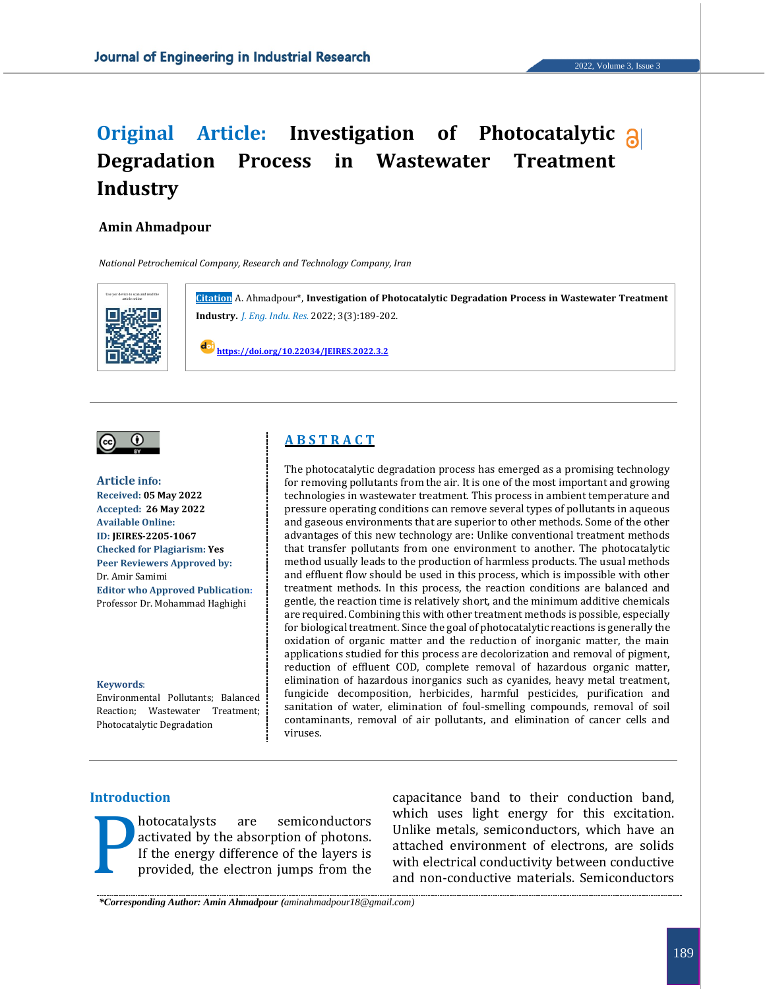# **Original Article: Investigation of Photocatalytic Degradation Process in Wastewater Treatment Industry**

#### **Amin Ahmadpour**

*National Petrochemical Company, Research and Technology Company, Iran*





**Article info: Received: 05 May 2022 Accepted: 26 May 2022 Available Online: ID: JEIRES-2205-1067 Checked for Plagiarism: Yes Peer Reviewers Approved by:**  Dr. Amir Samimi **Editor who Approved Publication:**  Professor Dr. Mohammad Haghighi

#### **Keywords**:

Environmental Pollutants; Balanced Reaction; Wastewater Treatment; Photocatalytic Degradation

# **A B S T R A C T**

The photocatalytic degradation process has emerged as a promising technology for removing pollutants from the air. It is one of the most important and growing technologies in wastewater treatment. This process in ambient temperature and pressure operating conditions can remove several types of pollutants in aqueous and gaseous environments that are superior to other methods. Some of the other advantages of this new technology are: Unlike conventional treatment methods that transfer pollutants from one environment to another. The photocatalytic method usually leads to the production of harmless products. The usual methods and effluent flow should be used in this process, which is impossible with other treatment methods. In this process, the reaction conditions are balanced and gentle, the reaction time is relatively short, and the minimum additive chemicals are required. Combining this with other treatment methods is possible, especially for biological treatment. Since the goal of photocatalytic reactions is generally the oxidation of organic matter and the reduction of inorganic matter, the main applications studied for this process are decolorization and removal of pigment, reduction of effluent COD, complete removal of hazardous organic matter, elimination of hazardous inorganics such as cyanides, heavy metal treatment, fungicide decomposition, herbicides, harmful pesticides, purification and sanitation of water, elimination of foul-smelling compounds, removal of soil contaminants, removal of air pollutants, and elimination of cancer cells and viruses.

#### **Introduction**

hotocatalysts are semiconductors activated by the absorption of photons. If the energy difference of the layers is provided, the electron jumps from the

capacitance band to their conduction band, which uses light energy for this excitation. Unlike metals, semiconductors, which have an attached environment of electrons, are solids Motocatalysts are semiconductors which uses light energy for this excitation.<br>If the energy difference of the layers is<br>provided, the electron jumps from the and non-conductive materials. Semiconductors<br>and non-conductive

*\*Corresponding Author: Amin Ahmadpour (aminahmadpour18@gmail.com)*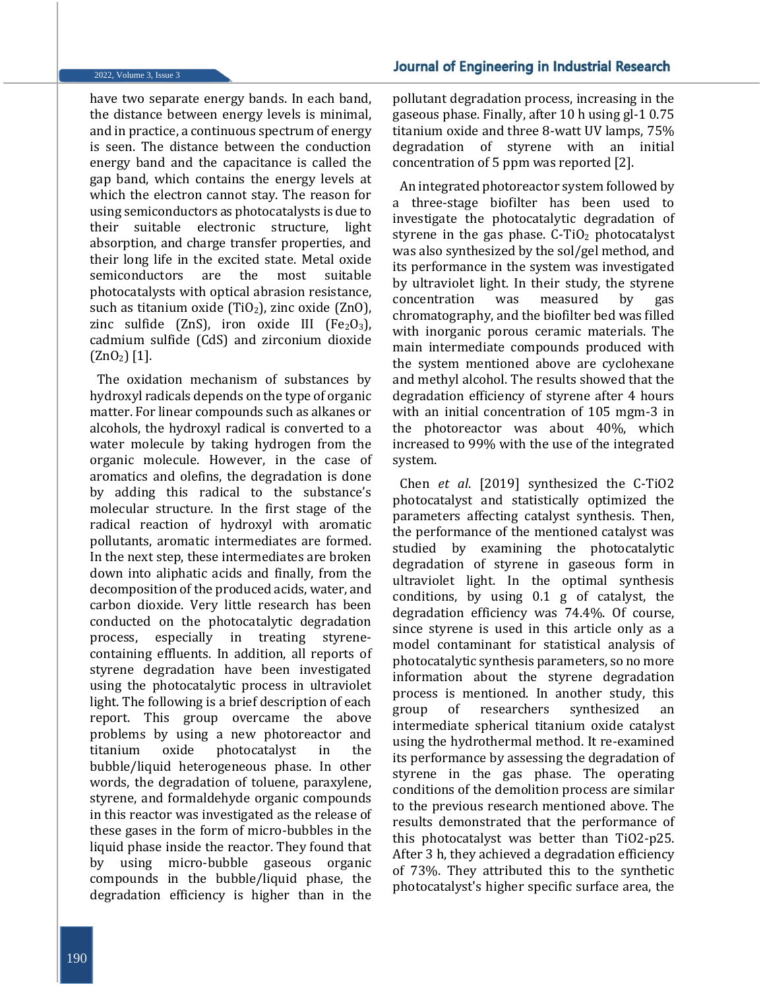have two separate energy bands. In each band, the distance between energy levels is minimal, and in practice, a continuous spectrum of energy is seen. The distance between the conduction energy band and the capacitance is called the gap band, which contains the energy levels at which the electron cannot stay. The reason for using semiconductors as photocatalysts is due to their suitable electronic structure, light absorption, and charge transfer properties, and their long life in the excited state. Metal oxide semiconductors are the most suitable photocatalysts with optical abrasion resistance, such as titanium oxide (TiO<sub>2</sub>), zinc oxide (ZnO), zinc sulfide  $(ZnS)$ , iron oxide III  $[Fe<sub>2</sub>O<sub>3</sub>]$ , cadmium sulfide (CdS) and zirconium dioxide  $(ZnO<sub>2</sub>)$  [1].

The oxidation mechanism of substances by hydroxyl radicals depends on the type of organic matter. For linear compounds such as alkanes or alcohols, the hydroxyl radical is converted to a water molecule by taking hydrogen from the organic molecule. However, in the case of aromatics and olefins, the degradation is done by adding this radical to the substance's molecular structure. In the first stage of the radical reaction of hydroxyl with aromatic pollutants, aromatic intermediates are formed. In the next step, these intermediates are broken down into aliphatic acids and finally, from the decomposition of the produced acids, water, and carbon dioxide. Very little research has been conducted on the photocatalytic degradation process, especially in treating styrenecontaining effluents. In addition, all reports of styrene degradation have been investigated using the photocatalytic process in ultraviolet light. The following is a brief description of each report. This group overcame the above problems by using a new photoreactor and titanium oxide photocatalyst in the bubble/liquid heterogeneous phase. In other words, the degradation of toluene, paraxylene, styrene, and formaldehyde organic compounds in this reactor was investigated as the release of these gases in the form of micro-bubbles in the liquid phase inside the reactor. They found that by using micro-bubble gaseous organic compounds in the bubble/liquid phase, the degradation efficiency is higher than in the

pollutant degradation process, increasing in the gaseous phase. Finally, after 10 h using gl-1 0.75 titanium oxide and three 8-watt UV lamps, 75% degradation of styrene with an initial concentration of 5 ppm was reported [2].

An integrated photoreactor system followed by a three-stage biofilter has been used to investigate the photocatalytic degradation of styrene in the gas phase.  $C-TiO<sub>2</sub>$  photocatalyst was also synthesized by the sol/gel method, and its performance in the system was investigated by ultraviolet light. In their study, the styrene concentration was measured by gas chromatography, and the biofilter bed was filled with inorganic porous ceramic materials. The main intermediate compounds produced with the system mentioned above are cyclohexane and methyl alcohol. The results showed that the degradation efficiency of styrene after 4 hours with an initial concentration of 105 mgm-3 in the photoreactor was about 40%, which increased to 99% with the use of the integrated system.

Chen *et al*. [2019] synthesized the C-TiO2 photocatalyst and statistically optimized the parameters affecting catalyst synthesis. Then, the performance of the mentioned catalyst was studied by examining the photocatalytic degradation of styrene in gaseous form in ultraviolet light. In the optimal synthesis conditions, by using 0.1 g of catalyst, the degradation efficiency was 74.4%. Of course, since styrene is used in this article only as a model contaminant for statistical analysis of photocatalytic synthesis parameters, so no more information about the styrene degradation process is mentioned. In another study, this group of researchers synthesized intermediate spherical titanium oxide catalyst using the hydrothermal method. It re-examined its performance by assessing the degradation of styrene in the gas phase. The operating conditions of the demolition process are similar to the previous research mentioned above. The results demonstrated that the performance of this photocatalyst was better than TiO2-p25. After 3 h, they achieved a degradation efficiency of 73%. They attributed this to the synthetic photocatalyst's higher specific surface area, the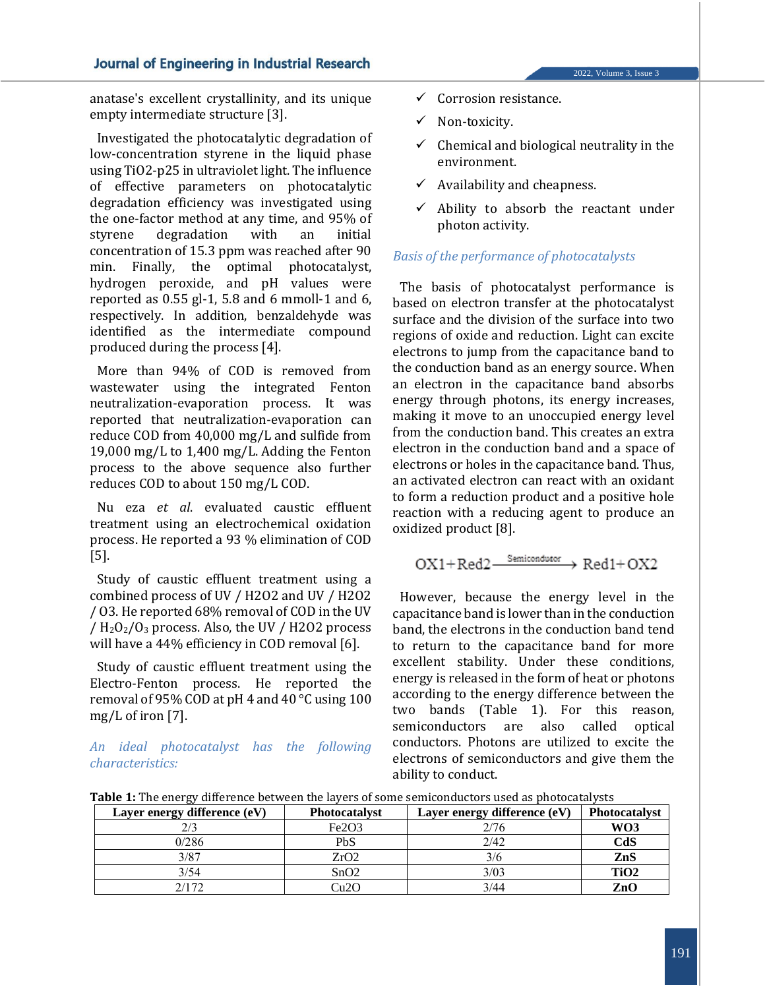#### 2022, Volume 3, Issue 3

anatase's excellent crystallinity, and its unique empty intermediate structure [3].

Investigated the photocatalytic degradation of low-concentration styrene in the liquid phase using TiO2-p25 in ultraviolet light. The influence of effective parameters on photocatalytic degradation efficiency was investigated using the one-factor method at any time, and 95% of styrene degradation with an initial concentration of 15.3 ppm was reached after 90 min. Finally, the optimal photocatalyst, hydrogen peroxide, and pH values were reported as 0.55 gl-1, 5.8 and 6 mmoll-1 and 6, respectively. In addition, benzaldehyde was identified as the intermediate compound produced during the process [4].

More than 94% of COD is removed from wastewater using the integrated Fenton neutralization-evaporation process. It was reported that neutralization-evaporation can reduce COD from 40,000 mg/L and sulfide from 19,000 mg/L to 1,400 mg/L. Adding the Fenton process to the above sequence also further reduces COD to about 150 mg/L COD.

Nu eza *et al*. evaluated caustic effluent treatment using an electrochemical oxidation process. He reported a 93 % elimination of COD [5].

Study of caustic effluent treatment using a combined process of UV / H2O2 and UV / H2O2 / O3. He reported 68% removal of COD in the UV /  $H<sub>2</sub>O<sub>2</sub>/O<sub>3</sub>$  process. Also, the UV / H2O2 process will have a 44% efficiency in COD removal [6].

Study of caustic effluent treatment using the Electro-Fenton process. He reported the removal of 95% COD at pH 4 and 40 °C using 100 mg/L of iron [7].

*An ideal photocatalyst has the following characteristics:*

- $\checkmark$  Corrosion resistance.
- ✓ Non-toxicity.
- $\checkmark$  Chemical and biological neutrality in the environment.
- $\checkmark$  Availability and cheapness.
- $\checkmark$  Ability to absorb the reactant under photon activity.

#### *Basis of the performance of photocatalysts*

The basis of photocatalyst performance is based on electron transfer at the photocatalyst surface and the division of the surface into two regions of oxide and reduction. Light can excite electrons to jump from the capacitance band to the conduction band as an energy source. When an electron in the capacitance band absorbs energy through photons, its energy increases, making it move to an unoccupied energy level from the conduction band. This creates an extra electron in the conduction band and a space of electrons or holes in the capacitance band. Thus, an activated electron can react with an oxidant to form a reduction product and a positive hole reaction with a reducing agent to produce an oxidized product [8].

$$
OX1 + Red2 \xrightarrow{Semiconductor} Red1 + OX2
$$

However, because the energy level in the capacitance band is lower than in the conduction band, the electrons in the conduction band tend to return to the capacitance band for more excellent stability. Under these conditions, energy is released in the form of heat or photons according to the energy difference between the two bands (Table 1). For this reason, semiconductors are also called optical conductors. Photons are utilized to excite the electrons of semiconductors and give them the ability to conduct.

**Table 1:** The energy difference between the layers of some semiconductors used as photocatalysts

| Layer energy difference (eV) | <b>Photocatalyst</b>           | Layer energy difference (eV) | <b>Photocatalyst</b> |
|------------------------------|--------------------------------|------------------------------|----------------------|
| 2/3                          | Fe <sub>2</sub> O <sub>3</sub> | 2/76                         | WO3                  |
| 0/286                        | PbS                            | 2/42                         | CdS                  |
| 3/87                         | ZrO2                           | 3/6                          | ZnS                  |
| 3/54                         | SnO2                           | 3/03                         | TiO <sub>2</sub>     |
| 2/172                        | $\gamma_{11}$ 2 $C$            | 3/44                         | $\mathbf{ZnO}$       |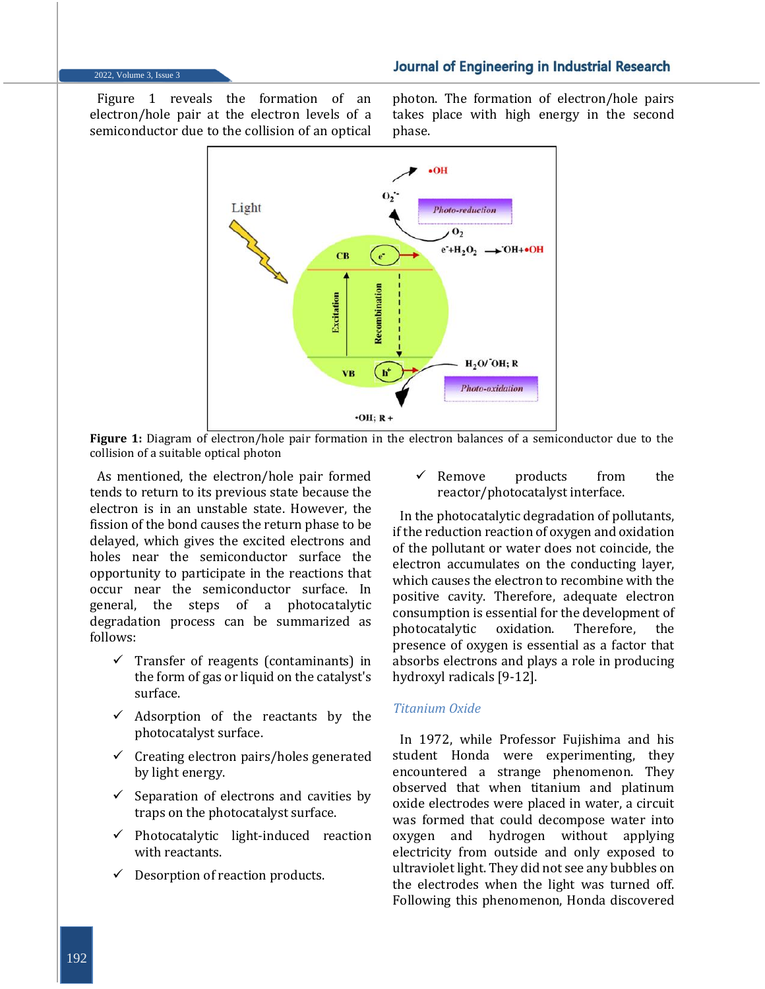2022, Volume 3, Issue 3

Figure 1 reveals the formation of an electron/hole pair at the electron levels of a semiconductor due to the collision of an optical photon. The formation of electron/hole pairs takes place with high energy in the second phase.



Figure 1: Diagram of electron/hole pair formation in the electron balances of a semiconductor due to the collision of a suitable optical photon

As mentioned, the electron/hole pair formed tends to return to its previous state because the electron is in an unstable state. However, the fission of the bond causes the return phase to be delayed, which gives the excited electrons and holes near the semiconductor surface the opportunity to participate in the reactions that occur near the semiconductor surface. In general, the steps of a photocatalytic degradation process can be summarized as follows:

- $\checkmark$  Transfer of reagents (contaminants) in the form of gas or liquid on the catalyst's surface.
- $\checkmark$  Adsorption of the reactants by the photocatalyst surface.
- $\checkmark$  Creating electron pairs/holes generated by light energy.
- $\checkmark$  Separation of electrons and cavities by traps on the photocatalyst surface.
- ✓ Photocatalytic light-induced reaction with reactants.
- $\checkmark$  Desorption of reaction products.

 $\checkmark$  Remove products from the reactor/photocatalyst interface.

In the photocatalytic degradation of pollutants, if the reduction reaction of oxygen and oxidation of the pollutant or water does not coincide, the electron accumulates on the conducting layer, which causes the electron to recombine with the positive cavity. Therefore, adequate electron consumption is essential for the development of photocatalytic oxidation. Therefore, the presence of oxygen is essential as a factor that absorbs electrons and plays a role in producing hydroxyl radicals [9-12].

# *Titanium Oxide*

In 1972, while Professor Fujishima and his student Honda were experimenting, they encountered a strange phenomenon. They observed that when titanium and platinum oxide electrodes were placed in water, a circuit was formed that could decompose water into oxygen and hydrogen without applying electricity from outside and only exposed to ultraviolet light. They did not see any bubbles on the electrodes when the light was turned off. Following this phenomenon, Honda discovered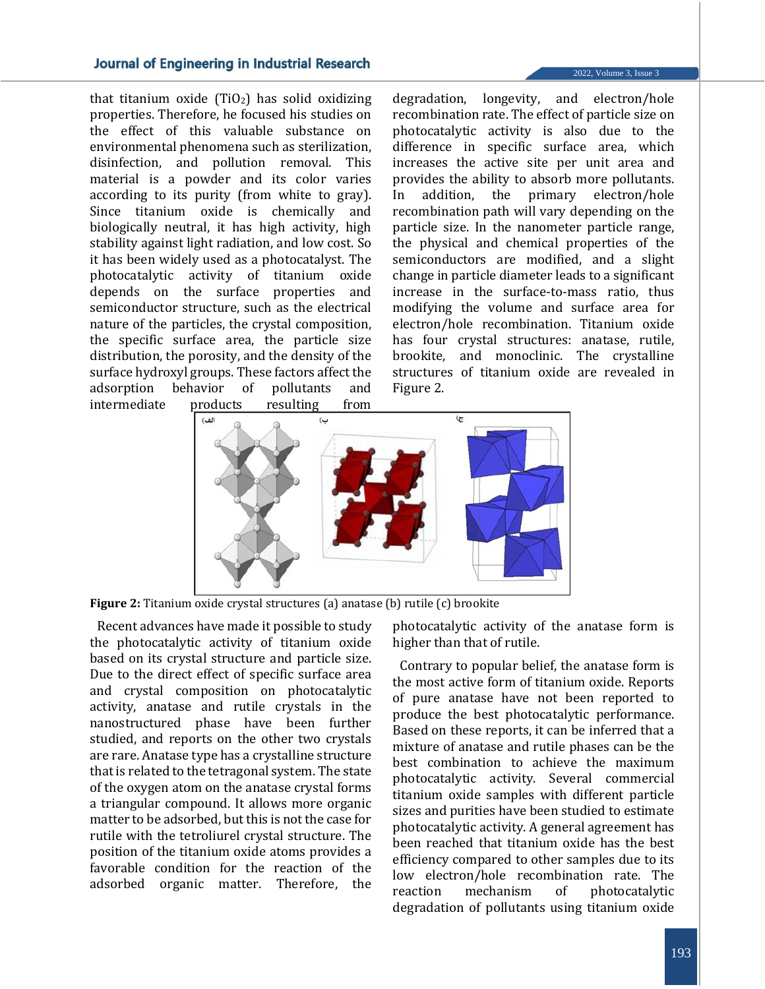that titanium oxide  $(TiO<sub>2</sub>)$  has solid oxidizing properties. Therefore, he focused his studies on the effect of this valuable substance on environmental phenomena such as sterilization, disinfection, and pollution removal. This material is a powder and its color varies according to its purity (from white to gray). Since titanium oxide is chemically and biologically neutral, it has high activity, high stability against light radiation, and low cost. So it has been widely used as a photocatalyst. The photocatalytic activity of titanium oxide depends on the surface properties and semiconductor structure, such as the electrical nature of the particles, the crystal composition, the specific surface area, the particle size distribution, the porosity, and the density of the surface hydroxyl groups. These factors affect the adsorption behavior of pollutants and intermediate products resulting from 2022, Volume 3, Issue 3

degradation, longevity, and electron/hole recombination rate. The effect of particle size on photocatalytic activity is also due to the difference in specific surface area, which increases the active site per unit area and provides the ability to absorb more pollutants. In addition, the primary electron/hole recombination path will vary depending on the particle size. In the nanometer particle range, the physical and chemical properties of the semiconductors are modified, and a slight change in particle diameter leads to a significant increase in the surface-to-mass ratio, thus modifying the volume and surface area for electron/hole recombination. Titanium oxide has four crystal structures: anatase, rutile, brookite, and monoclinic. The crystalline structures of titanium oxide are revealed in Figure 2.



**Figure 2:** Titanium oxide crystal structures (a) anatase (b) rutile (c) brookite

Recent advances have made it possible to study the photocatalytic activity of titanium oxide based on its crystal structure and particle size. Due to the direct effect of specific surface area and crystal composition on photocatalytic activity, anatase and rutile crystals in the nanostructured phase have been further studied, and reports on the other two crystals are rare. Anatase type has a crystalline structure that is related to the tetragonal system. The state of the oxygen atom on the anatase crystal forms a triangular compound. It allows more organic matter to be adsorbed, but this is not the case for rutile with the tetroliurel crystal structure. The position of the titanium oxide atoms provides a favorable condition for the reaction of the adsorbed organic matter. Therefore, the

photocatalytic activity of the anatase form is higher than that of rutile.

Contrary to popular belief, the anatase form is the most active form of titanium oxide. Reports of pure anatase have not been reported to produce the best photocatalytic performance. Based on these reports, it can be inferred that a mixture of anatase and rutile phases can be the best combination to achieve the maximum photocatalytic activity. Several commercial titanium oxide samples with different particle sizes and purities have been studied to estimate photocatalytic activity. A general agreement has been reached that titanium oxide has the best efficiency compared to other samples due to its low electron/hole recombination rate. The reaction mechanism of photocatalytic degradation of pollutants using titanium oxide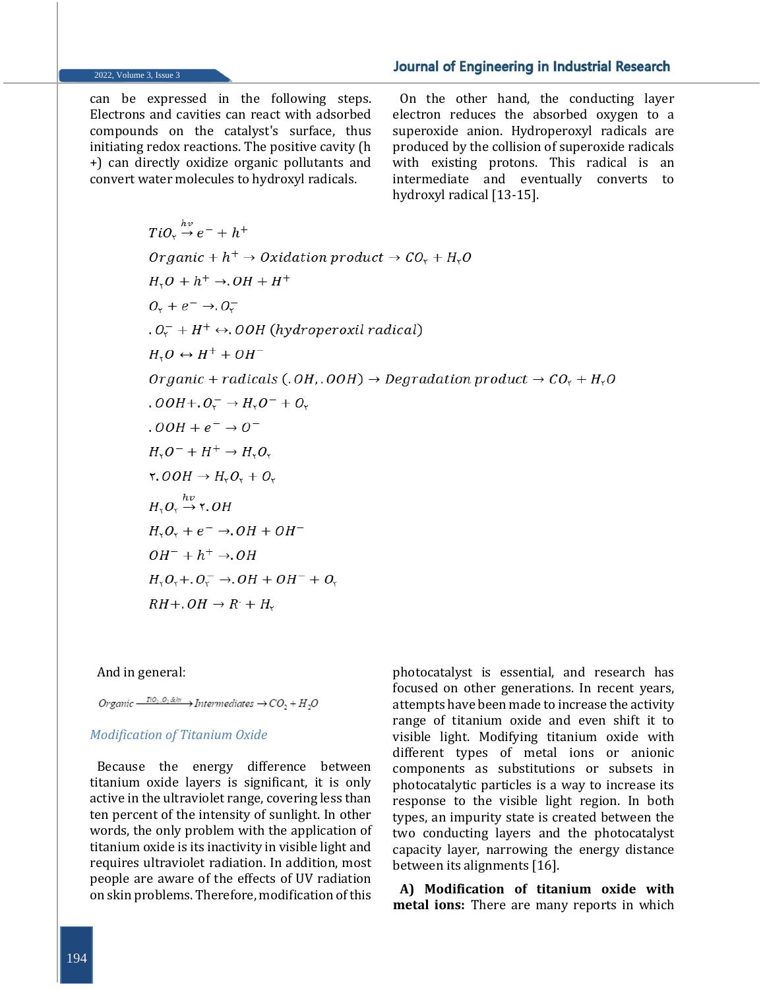#### 2022, Volume 3, Issue 3

can be expressed in the following steps. Electrons and cavities can react with adsorbed compounds on the catalyst's surface, thus initiating redox reactions. The positive cavity (h +) can directly oxidize organic pollutants and convert water molecules to hydroxyl radicals.

On the other hand, the conducting layer electron reduces the absorbed oxygen to a superoxide anion. Hydroperoxyl radicals are produced by the collision of superoxide radicals with existing protons. This radical is an intermediate and eventually converts to hydroxyl radical [13-15].

 $TiO_{r} \stackrel{hv}{\rightarrow} e^{-} + h^{+}$ Organic +  $h^+$   $\rightarrow$  Oxidation product  $\rightarrow$  CO<sub>r</sub> + H<sub>r</sub>O  $H_{\gamma}O + h^{+} \rightarrow OH + H^{+}$  $0. + e^- \rightarrow 0.0$  $0.0<sub>r</sub><sup>-</sup> + H<sup>+</sup> \leftrightarrow$  OOH (hydroperoxil radical)  $H Q \leftrightarrow H^+ + OH^-$ Organic + radicals (.OH, .OOH)  $\rightarrow$  Degradation product  $\rightarrow$  CO<sub>r</sub> + H<sub>r</sub>O  $. OOH + . O<sub>r</sub><sup>-</sup> \rightarrow H<sub>r</sub>O<sup>-</sup> + O<sub>r</sub>$  $.00H + e^- \rightarrow 0^ H_{\nu}O^{-} + H^{+} \rightarrow H_{\nu}O_{\nu}$  $\mathsf{Y.} \mathit{OOH} \rightarrow H_{\mathsf{Y}}O_{\mathsf{Y}} + O_{\mathsf{Y}}$  $H_{\rm Y}O_{\rm Y} \stackrel{hv}{\rightarrow}$  7. OH  $H_{\rm v}O_{\rm v}$  +  $e^ \rightarrow$   $OH + OH^ OH^- + h^+ \rightarrow OH$  $H_rO_r + O_r^- \rightarrow OH + OH^- + O_r$  $RH + .OH \rightarrow R' + H_{r}$ 

And in general:

Organic  $\frac{T(0,0,\&\&\vee\cdots)}{T(0,0,\&\&\vee\cdots)}$  Intermediates  $\rightarrow CO, +H, O$ 

#### *Modification of Titanium Oxide*

Because the energy difference between titanium oxide layers is significant, it is only active in the ultraviolet range, covering less than ten percent of the intensity of sunlight. In other words, the only problem with the application of titanium oxide is its inactivity in visible light and requires ultraviolet radiation. In addition, most people are aware of the effects of UV radiation on skin problems. Therefore, modification of this

photocatalyst is essential, and research has focused on other generations. In recent years, attempts have been made to increase the activity range of titanium oxide and even shift it to visible light. Modifying titanium oxide with different types of metal ions or anionic components as substitutions or subsets in photocatalytic particles is a way to increase its response to the visible light region. In both types, an impurity state is created between the two conducting layers and the photocatalyst capacity layer, narrowing the energy distance between its alignments [16].

**A) Modification of titanium oxide with metal ions:** There are many reports in which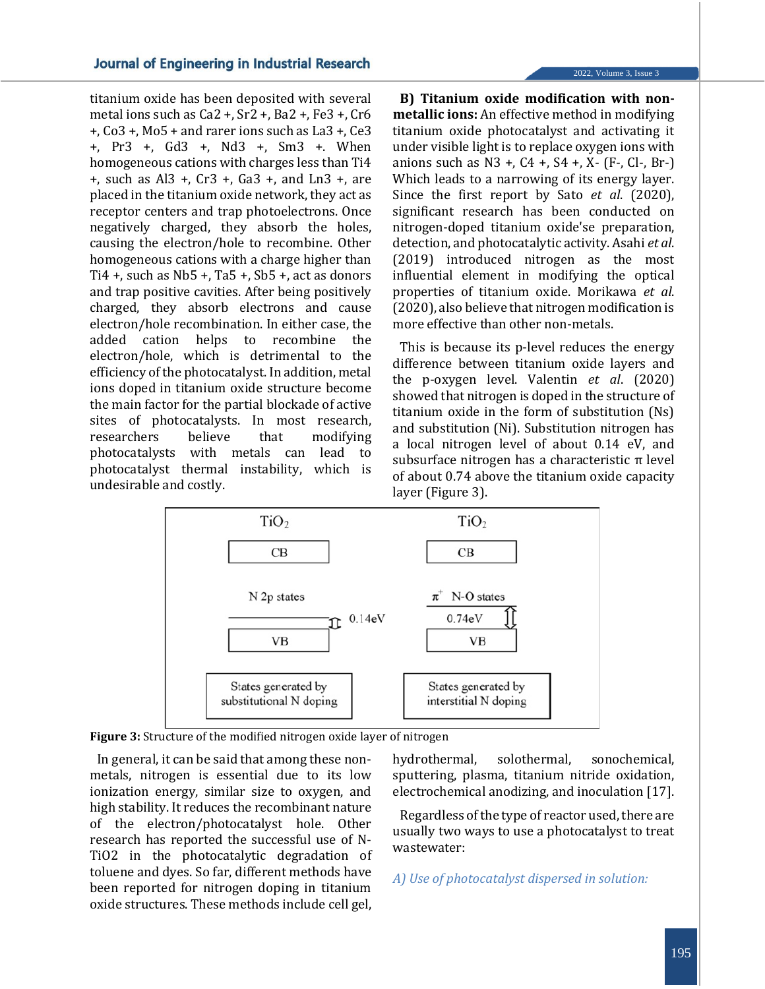titanium oxide has been deposited with several metal ions such as Ca2 +, Sr2 +, Ba2 +, Fe3 +, Cr6 +, Co3 +, Mo5 + and rarer ions such as La3 +, Ce3 +, Pr3 +, Gd3 +, Nd3 +, Sm3 +. When homogeneous cations with charges less than Ti4 +, such as Al3 +, Cr3 +, Ga3 +, and Ln3 +, are placed in the titanium oxide network, they act as receptor centers and trap photoelectrons. Once negatively charged, they absorb the holes, causing the electron/hole to recombine. Other homogeneous cations with a charge higher than Ti4 +, such as Nb5 +, Ta5 +, Sb5 +, act as donors and trap positive cavities. After being positively charged, they absorb electrons and cause electron/hole recombination. In either case, the added cation helps to recombine the electron/hole, which is detrimental to the efficiency of the photocatalyst. In addition, metal ions doped in titanium oxide structure become the main factor for the partial blockade of active sites of photocatalysts. In most research, researchers believe that modifying photocatalysts with metals can lead to photocatalyst thermal instability, which is undesirable and costly.

2022, Volume 3, Issue 3

**B) Titanium oxide modification with nonmetallic ions:** An effective method in modifying titanium oxide photocatalyst and activating it under visible light is to replace oxygen ions with anions such as  $N3 +$ ,  $C4 +$ ,  $S4 +$ ,  $X (F-, C] -$ ,  $Br -$ Which leads to a narrowing of its energy layer. Since the first report by Sato *et al*. (2020), significant research has been conducted on nitrogen-doped titanium oxide'se preparation, detection, and photocatalytic activity. Asahi *et al*. (2019) introduced nitrogen as the most influential element in modifying the optical properties of titanium oxide. Morikawa *et al*. (2020), also believe that nitrogen modification is more effective than other non-metals.

This is because its p-level reduces the energy difference between titanium oxide layers and the p-oxygen level. Valentin *et al*. (2020) showed that nitrogen is doped in the structure of titanium oxide in the form of substitution (Ns) and substitution (Ni). Substitution nitrogen has a local nitrogen level of about 0.14 eV, and subsurface nitrogen has a characteristic  $\pi$  level of about 0.74 above the titanium oxide capacity layer (Figure 3).



**Figure 3:** Structure of the modified nitrogen oxide layer of nitrogen

In general, it can be said that among these nonmetals, nitrogen is essential due to its low ionization energy, similar size to oxygen, and high stability. It reduces the recombinant nature of the electron/photocatalyst hole. Other research has reported the successful use of N-TiO2 in the photocatalytic degradation of toluene and dyes. So far, different methods have been reported for nitrogen doping in titanium oxide structures. These methods include cell gel,

hydrothermal, solothermal, sonochemical, sputtering, plasma, titanium nitride oxidation, electrochemical anodizing, and inoculation [17].

Regardless of the type of reactor used, there are usually two ways to use a photocatalyst to treat wastewater:

*A) Use of photocatalyst dispersed in solution:*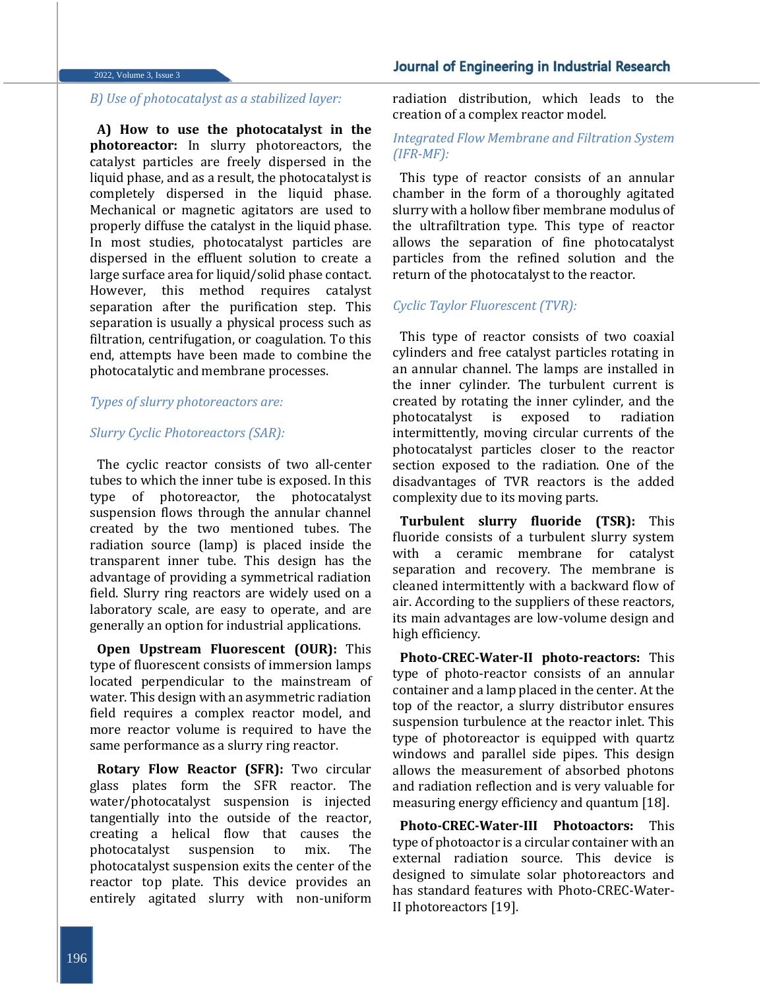#### 2022, Volume 3, Issue 3

# *B) Use of photocatalyst as a stabilized layer:*

**A) How to use the photocatalyst in the photoreactor:** In slurry photoreactors, the catalyst particles are freely dispersed in the liquid phase, and as a result, the photocatalyst is completely dispersed in the liquid phase. Mechanical or magnetic agitators are used to properly diffuse the catalyst in the liquid phase. In most studies, photocatalyst particles are dispersed in the effluent solution to create a large surface area for liquid/solid phase contact. However, this method requires catalyst separation after the purification step. This separation is usually a physical process such as filtration, centrifugation, or coagulation. To this end, attempts have been made to combine the photocatalytic and membrane processes.

#### *Types of slurry photoreactors are:*

#### *Slurry Cyclic Photoreactors (SAR):*

The cyclic reactor consists of two all-center tubes to which the inner tube is exposed. In this type of photoreactor, the photocatalyst suspension flows through the annular channel created by the two mentioned tubes. The radiation source (lamp) is placed inside the transparent inner tube. This design has the advantage of providing a symmetrical radiation field. Slurry ring reactors are widely used on a laboratory scale, are easy to operate, and are generally an option for industrial applications.

**Open Upstream Fluorescent (OUR):** This type of fluorescent consists of immersion lamps located perpendicular to the mainstream of water. This design with an asymmetric radiation field requires a complex reactor model, and more reactor volume is required to have the same performance as a slurry ring reactor.

**Rotary Flow Reactor (SFR):** Two circular glass plates form the SFR reactor. The water/photocatalyst suspension is injected tangentially into the outside of the reactor, creating a helical flow that causes the photocatalyst suspension to mix. The photocatalyst suspension exits the center of the reactor top plate. This device provides an entirely agitated slurry with non-uniform

radiation distribution, which leads to the creation of a complex reactor model.

# *Integrated Flow Membrane and Filtration System (IFR-MF):*

This type of reactor consists of an annular chamber in the form of a thoroughly agitated slurry with a hollow fiber membrane modulus of the ultrafiltration type. This type of reactor allows the separation of fine photocatalyst particles from the refined solution and the return of the photocatalyst to the reactor.

#### *Cyclic Taylor Fluorescent (TVR):*

This type of reactor consists of two coaxial cylinders and free catalyst particles rotating in an annular channel. The lamps are installed in the inner cylinder. The turbulent current is created by rotating the inner cylinder, and the photocatalyst is exposed to radiation intermittently, moving circular currents of the photocatalyst particles closer to the reactor section exposed to the radiation. One of the disadvantages of TVR reactors is the added complexity due to its moving parts.

**Turbulent slurry fluoride (TSR):** This fluoride consists of a turbulent slurry system with a ceramic membrane for catalyst separation and recovery. The membrane is cleaned intermittently with a backward flow of air. According to the suppliers of these reactors, its main advantages are low-volume design and high efficiency.

**Photo-CREC-Water-II photo-reactors:** This type of photo-reactor consists of an annular container and a lamp placed in the center. At the top of the reactor, a slurry distributor ensures suspension turbulence at the reactor inlet. This type of photoreactor is equipped with quartz windows and parallel side pipes. This design allows the measurement of absorbed photons and radiation reflection and is very valuable for measuring energy efficiency and quantum [18].

**Photo-CREC-Water-III Photoactors:** This type of photoactor is a circular container with an external radiation source. This device is designed to simulate solar photoreactors and has standard features with Photo-CREC-Water-II photoreactors [19].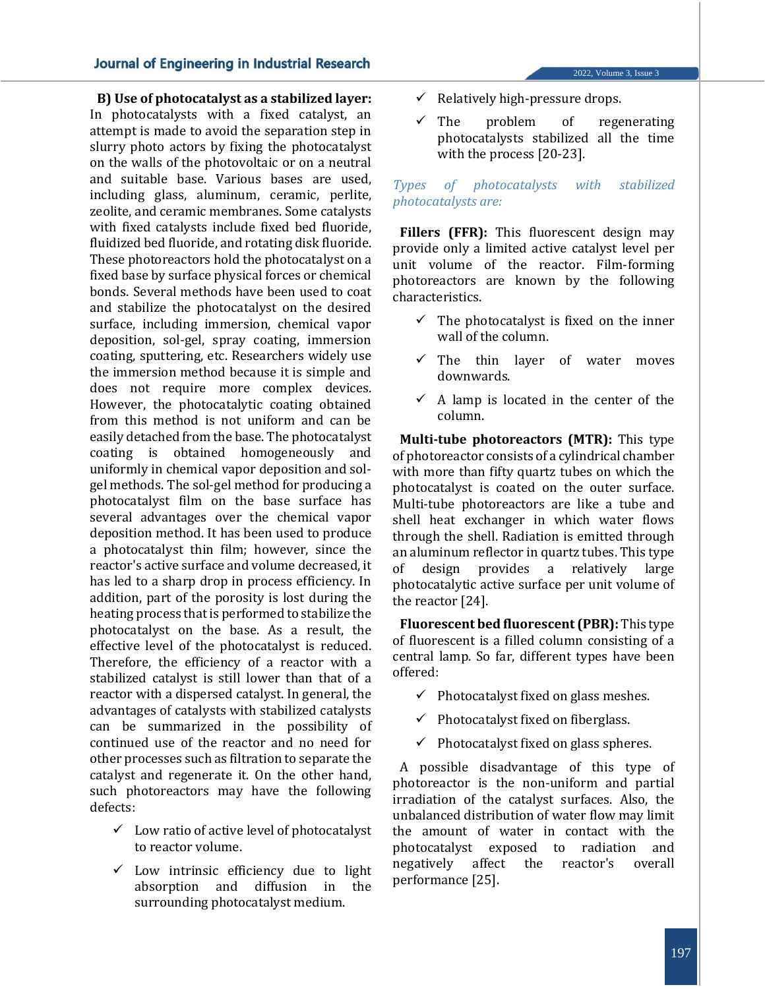**B) Use of photocatalyst as a stabilized layer:** In photocatalysts with a fixed catalyst, an attempt is made to avoid the separation step in slurry photo actors by fixing the photocatalyst on the walls of the photovoltaic or on a neutral and suitable base. Various bases are used, including glass, aluminum, ceramic, perlite, zeolite, and ceramic membranes. Some catalysts with fixed catalysts include fixed bed fluoride, fluidized bed fluoride, and rotating disk fluoride. These photoreactors hold the photocatalyst on a fixed base by surface physical forces or chemical bonds. Several methods have been used to coat and stabilize the photocatalyst on the desired surface, including immersion, chemical vapor deposition, sol-gel, spray coating, immersion coating, sputtering, etc. Researchers widely use the immersion method because it is simple and does not require more complex devices. However, the photocatalytic coating obtained from this method is not uniform and can be easily detached from the base. The photocatalyst coating is obtained homogeneously and uniformly in chemical vapor deposition and solgel methods. The sol-gel method for producing a photocatalyst film on the base surface has several advantages over the chemical vapor deposition method. It has been used to produce a photocatalyst thin film; however, since the reactor's active surface and volume decreased, it has led to a sharp drop in process efficiency. In addition, part of the porosity is lost during the heating process that is performed to stabilize the photocatalyst on the base. As a result, the effective level of the photocatalyst is reduced. Therefore, the efficiency of a reactor with a stabilized catalyst is still lower than that of a reactor with a dispersed catalyst. In general, the advantages of catalysts with stabilized catalysts can be summarized in the possibility of continued use of the reactor and no need for other processes such as filtration to separate the catalyst and regenerate it. On the other hand, such photoreactors may have the following defects:

- ✓ Low ratio of active level of photocatalyst to reactor volume.
- $\checkmark$  Low intrinsic efficiency due to light absorption and diffusion in the surrounding photocatalyst medium.
- $\checkmark$  Relatively high-pressure drops.
- The problem of regenerating photocatalysts stabilized all the time with the process [20-23].

2022, Volume 3, Issue 3

# *Types of photocatalysts with stabilized photocatalysts are:*

Fillers (FFR): This fluorescent design may provide only a limited active catalyst level per unit volume of the reactor. Film-forming photoreactors are known by the following characteristics.

- $\checkmark$  The photocatalyst is fixed on the inner wall of the column.
- $\checkmark$  The thin layer of water moves downwards.
- $\checkmark$  A lamp is located in the center of the column.

**Multi-tube photoreactors (MTR):** This type of photoreactor consists of a cylindrical chamber with more than fifty quartz tubes on which the photocatalyst is coated on the outer surface. Multi-tube photoreactors are like a tube and shell heat exchanger in which water flows through the shell. Radiation is emitted through an aluminum reflector in quartz tubes. This type of design provides a relatively large photocatalytic active surface per unit volume of the reactor [24].

**Fluorescent bed fluorescent (PBR):** This type of fluorescent is a filled column consisting of a central lamp. So far, different types have been offered:

- $\checkmark$  Photocatalyst fixed on glass meshes.
- $\checkmark$  Photocatalyst fixed on fiberglass.
- $\checkmark$  Photocatalyst fixed on glass spheres.

A possible disadvantage of this type of photoreactor is the non-uniform and partial irradiation of the catalyst surfaces. Also, the unbalanced distribution of water flow may limit the amount of water in contact with the photocatalyst exposed to radiation and negatively affect the reactor's overall performance [25].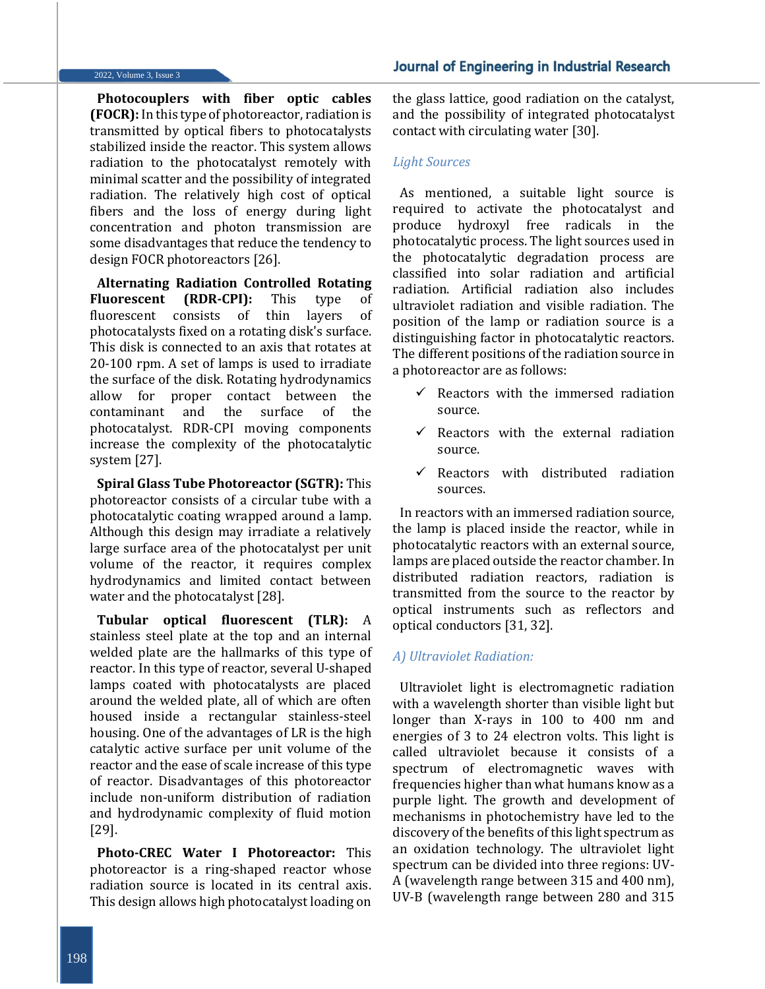#### 2022, Volume 3, Issue 3

**Photocouplers with fiber optic cables (FOCR):** In this type of photoreactor, radiation is transmitted by optical fibers to photocatalysts stabilized inside the reactor. This system allows radiation to the photocatalyst remotely with minimal scatter and the possibility of integrated radiation. The relatively high cost of optical fibers and the loss of energy during light concentration and photon transmission are some disadvantages that reduce the tendency to design FOCR photoreactors [26].

**Alternating Radiation Controlled Rotating Fluorescent (RDR-CPI):** This type of fluorescent consists of thin layers of photocatalysts fixed on a rotating disk's surface. This disk is connected to an axis that rotates at 20-100 rpm. A set of lamps is used to irradiate the surface of the disk. Rotating hydrodynamics allow for proper contact between the contaminant and the surface of the photocatalyst. RDR-CPI moving components increase the complexity of the photocatalytic system [27].

**Spiral Glass Tube Photoreactor (SGTR):** This photoreactor consists of a circular tube with a photocatalytic coating wrapped around a lamp. Although this design may irradiate a relatively large surface area of the photocatalyst per unit volume of the reactor, it requires complex hydrodynamics and limited contact between water and the photocatalyst [28].

**Tubular optical fluorescent (TLR):** A stainless steel plate at the top and an internal welded plate are the hallmarks of this type of reactor. In this type of reactor, several U-shaped lamps coated with photocatalysts are placed around the welded plate, all of which are often housed inside a rectangular stainless-steel housing. One of the advantages of LR is the high catalytic active surface per unit volume of the reactor and the ease of scale increase of this type of reactor. Disadvantages of this photoreactor include non-uniform distribution of radiation and hydrodynamic complexity of fluid motion [29].

**Photo-CREC Water I Photoreactor:** This photoreactor is a ring-shaped reactor whose radiation source is located in its central axis. This design allows high photocatalyst loading on

the glass lattice, good radiation on the catalyst, and the possibility of integrated photocatalyst contact with circulating water [30].

#### *Light Sources*

As mentioned, a suitable light source is required to activate the photocatalyst and produce hydroxyl free radicals in the photocatalytic process. The light sources used in the photocatalytic degradation process are classified into solar radiation and artificial radiation. Artificial radiation also includes ultraviolet radiation and visible radiation. The position of the lamp or radiation source is a distinguishing factor in photocatalytic reactors. The different positions of the radiation source in a photoreactor are as follows:

- $\checkmark$  Reactors with the immersed radiation source.
- Reactors with the external radiation source.
- $\checkmark$  Reactors with distributed radiation sources.

In reactors with an immersed radiation source, the lamp is placed inside the reactor, while in photocatalytic reactors with an external source, lamps are placed outside the reactor chamber. In distributed radiation reactors, radiation is transmitted from the source to the reactor by optical instruments such as reflectors and optical conductors [31, 32].

#### *A) Ultraviolet Radiation:*

Ultraviolet light is electromagnetic radiation with a wavelength shorter than visible light but longer than X-rays in 100 to 400 nm and energies of 3 to 24 electron volts. This light is called ultraviolet because it consists of a spectrum of electromagnetic waves with frequencies higher than what humans know as a purple light. The growth and development of mechanisms in photochemistry have led to the discovery of the benefits of this light spectrum as an oxidation technology. The ultraviolet light spectrum can be divided into three regions: UV-A (wavelength range between 315 and 400 nm), UV-B (wavelength range between 280 and 315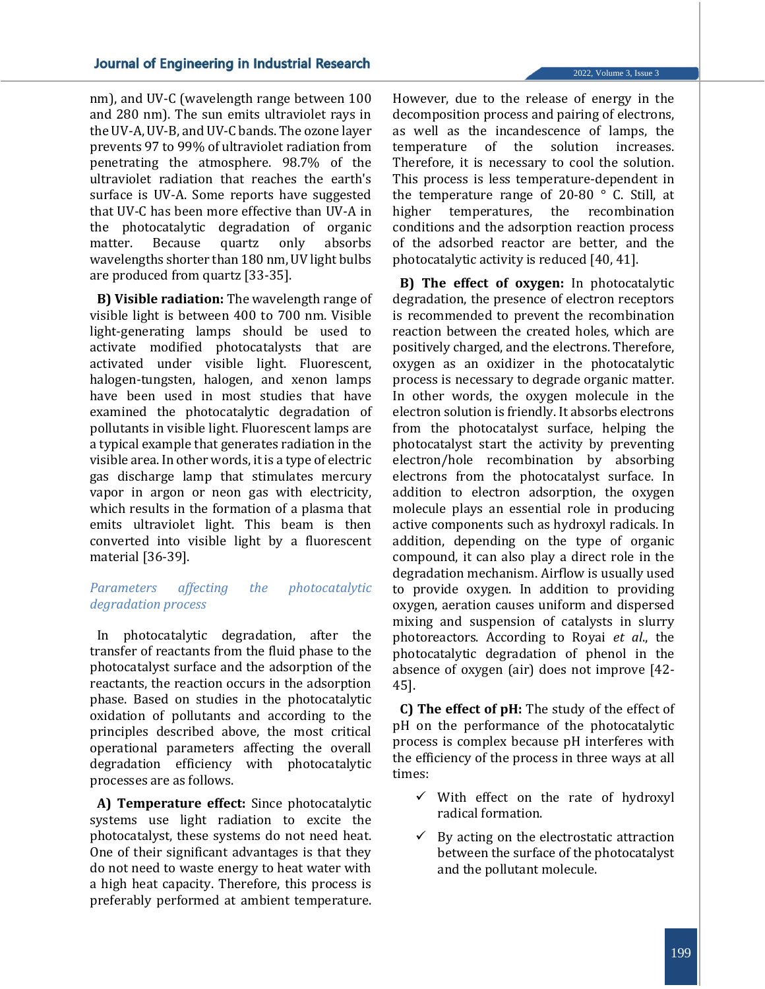nm), and UV-C (wavelength range between 100 and 280 nm). The sun emits ultraviolet rays in the UV-A, UV-B, and UV-C bands. The ozone layer prevents 97 to 99% of ultraviolet radiation from penetrating the atmosphere. 98.7% of the ultraviolet radiation that reaches the earth's surface is UV-A. Some reports have suggested that UV-C has been more effective than UV-A in the photocatalytic degradation of organic matter. Because quartz only absorbs wavelengths shorter than 180 nm, UV light bulbs are produced from quartz [33-35].

**B) Visible radiation:** The wavelength range of visible light is between 400 to 700 nm. Visible light-generating lamps should be used to activate modified photocatalysts that are activated under visible light. Fluorescent, halogen-tungsten, halogen, and xenon lamps have been used in most studies that have examined the photocatalytic degradation of pollutants in visible light. Fluorescent lamps are a typical example that generates radiation in the visible area. In other words, it is a type of electric gas discharge lamp that stimulates mercury vapor in argon or neon gas with electricity, which results in the formation of a plasma that emits ultraviolet light. This beam is then converted into visible light by a fluorescent material [36-39].

# *Parameters affecting the photocatalytic degradation process*

In photocatalytic degradation, after the transfer of reactants from the fluid phase to the photocatalyst surface and the adsorption of the reactants, the reaction occurs in the adsorption phase. Based on studies in the photocatalytic oxidation of pollutants and according to the principles described above, the most critical operational parameters affecting the overall degradation efficiency with photocatalytic processes are as follows.

**A) Temperature effect:** Since photocatalytic systems use light radiation to excite the photocatalyst, these systems do not need heat. One of their significant advantages is that they do not need to waste energy to heat water with a high heat capacity. Therefore, this process is preferably performed at ambient temperature.

However, due to the release of energy in the decomposition process and pairing of electrons, as well as the incandescence of lamps, the temperature of the solution increases. Therefore, it is necessary to cool the solution. This process is less temperature-dependent in the temperature range of 20-80  $\degree$  C. Still, at higher temperatures, the recombination conditions and the adsorption reaction process of the adsorbed reactor are better, and the photocatalytic activity is reduced [40, 41].

**B) The effect of oxygen:** In photocatalytic degradation, the presence of electron receptors is recommended to prevent the recombination reaction between the created holes, which are positively charged, and the electrons. Therefore, oxygen as an oxidizer in the photocatalytic process is necessary to degrade organic matter. In other words, the oxygen molecule in the electron solution is friendly. It absorbs electrons from the photocatalyst surface, helping the photocatalyst start the activity by preventing electron/hole recombination by absorbing electrons from the photocatalyst surface. In addition to electron adsorption, the oxygen molecule plays an essential role in producing active components such as hydroxyl radicals. In addition, depending on the type of organic compound, it can also play a direct role in the degradation mechanism. Airflow is usually used to provide oxygen. In addition to providing oxygen, aeration causes uniform and dispersed mixing and suspension of catalysts in slurry photoreactors. According to Royai *et al*., the photocatalytic degradation of phenol in the absence of oxygen (air) does not improve [42- 45].

**C) The effect of pH:** The study of the effect of pH on the performance of the photocatalytic process is complex because pH interferes with the efficiency of the process in three ways at all times:

- $\checkmark$  With effect on the rate of hydroxyl radical formation.
- $\checkmark$  By acting on the electrostatic attraction between the surface of the photocatalyst and the pollutant molecule.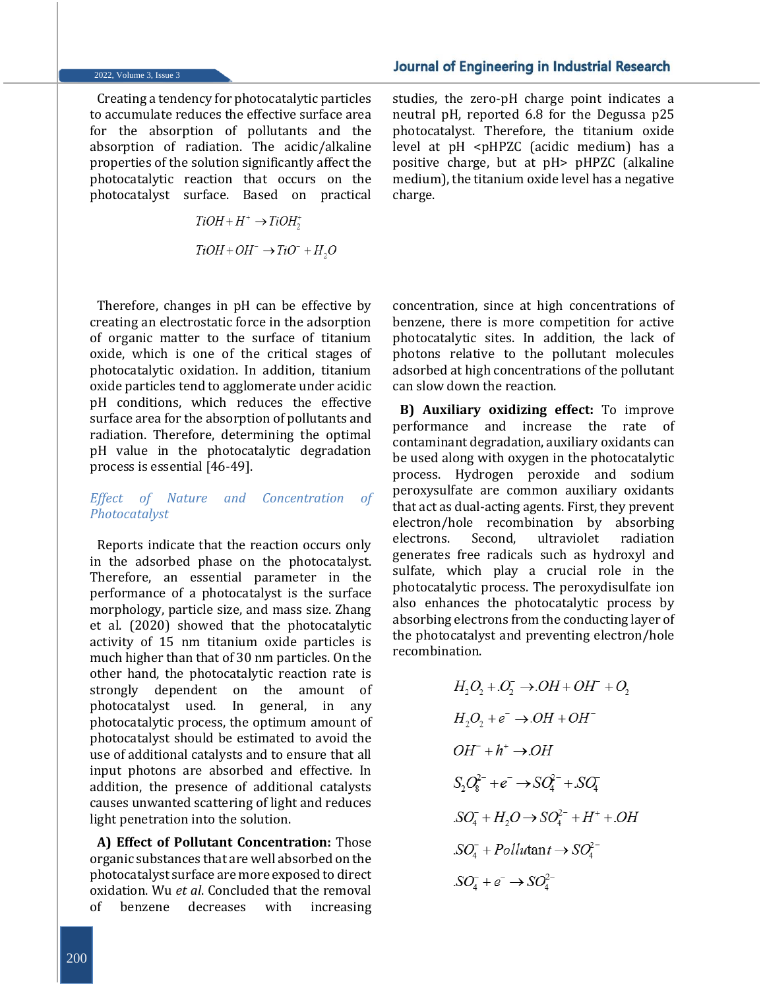#### 2022, Volume 3, Issue 3

Creating a tendency for photocatalytic particles to accumulate reduces the effective surface area for the absorption of pollutants and the absorption of radiation. The acidic/alkaline properties of the solution significantly affect the photocatalytic reaction that occurs on the photocatalyst surface. Based on practical

> $TiOH + H^+ \rightarrow TiOH^+$  $TiOH + OH^- \rightarrow TiO^- + H_2O$

Therefore, changes in pH can be effective by creating an electrostatic force in the adsorption of organic matter to the surface of titanium oxide, which is one of the critical stages of photocatalytic oxidation. In addition, titanium oxide particles tend to agglomerate under acidic pH conditions, which reduces the effective surface area for the absorption of pollutants and radiation. Therefore, determining the optimal pH value in the photocatalytic degradation process is essential [46-49].

*Effect of Nature and Concentration of Photocatalyst*

Reports indicate that the reaction occurs only in the adsorbed phase on the photocatalyst. Therefore, an essential parameter in the performance of a photocatalyst is the surface morphology, particle size, and mass size. Zhang et al. (2020) showed that the photocatalytic activity of 15 nm titanium oxide particles is much higher than that of 30 nm particles. On the other hand, the photocatalytic reaction rate is strongly dependent on the amount of photocatalyst used. In general, in any photocatalytic process, the optimum amount of photocatalyst should be estimated to avoid the use of additional catalysts and to ensure that all input photons are absorbed and effective. In addition, the presence of additional catalysts causes unwanted scattering of light and reduces light penetration into the solution.

**A) Effect of Pollutant Concentration:** Those organic substances that are well absorbed on the photocatalyst surface are more exposed to direct oxidation. Wu *et al*. Concluded that the removal of benzene decreases with increasing studies, the zero-pH charge point indicates a neutral pH, reported 6.8 for the Degussa p25 photocatalyst. Therefore, the titanium oxide level at pH <pHPZC (acidic medium) has a positive charge, but at pH> pHPZC (alkaline medium), the titanium oxide level has a negative charge.

concentration, since at high concentrations of benzene, there is more competition for active photocatalytic sites. In addition, the lack of photons relative to the pollutant molecules adsorbed at high concentrations of the pollutant can slow down the reaction.

**B) Auxiliary oxidizing effect:** To improve performance and increase the rate of contaminant degradation, auxiliary oxidants can be used along with oxygen in the photocatalytic process. Hydrogen peroxide and sodium peroxysulfate are common auxiliary oxidants that act as dual-acting agents. First, they prevent electron/hole recombination by absorbing electrons. Second, ultraviolet radiation generates free radicals such as hydroxyl and sulfate, which play a crucial role in the photocatalytic process. The peroxydisulfate ion also enhances the photocatalytic process by absorbing electrons from the conducting layer of the photocatalyst and preventing electron/hole recombination.

$$
H_2O_2 + O_2^- \rightarrow OH + OH^- + O_2
$$
  
\n
$$
H_2O_2 + e^- \rightarrow OH + OH^-
$$
  
\n
$$
OH^- + h^+ \rightarrow OH
$$
  
\n
$$
S_2O_8^{2-} + e^- \rightarrow SO_4^{2-} + SO_4
$$
  
\n
$$
SO_4^- + H_2O \rightarrow SO_4^{2-} + H^+ + OH
$$
  
\n
$$
SO_4^- + Pollutant \rightarrow SO_4^{2-}
$$
  
\n
$$
SO_4^- + e^- \rightarrow SO_4^{2-}
$$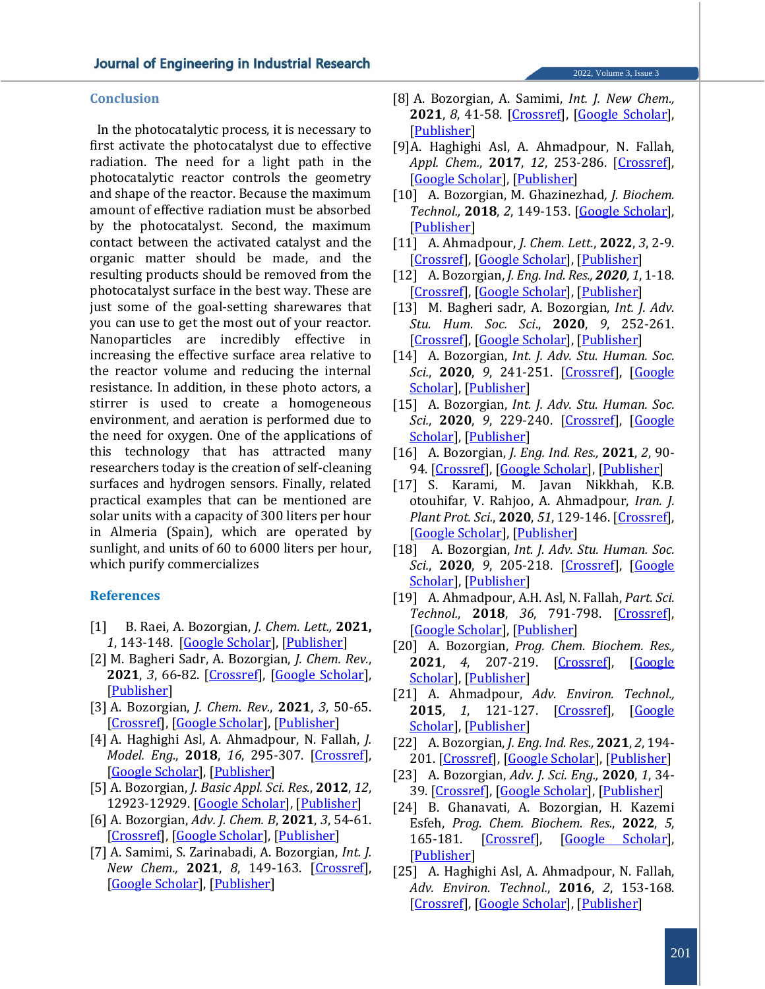**Conclusion**

In the photocatalytic process, it is necessary to first activate the photocatalyst due to effective radiation. The need for a light path in the photocatalytic reactor controls the geometry and shape of the reactor. Because the maximum amount of effective radiation must be absorbed by the photocatalyst. Second, the maximum contact between the activated catalyst and the organic matter should be made, and the resulting products should be removed from the photocatalyst surface in the best way. These are just some of the goal-setting sharewares that you can use to get the most out of your reactor. Nanoparticles are incredibly effective in increasing the effective surface area relative to the reactor volume and reducing the internal resistance. In addition, in these photo actors, a stirrer is used to create a homogeneous environment, and aeration is performed due to the need for oxygen. One of the applications of this technology that has attracted many researchers today is the creation of self-cleaning surfaces and hydrogen sensors. Finally, related practical examples that can be mentioned are solar units with a capacity of 300 liters per hour in Almeria (Spain), which are operated by sunlight, and units of 60 to 6000 liters per hour, which purify commercializes

#### **References**

- [1] B. Raei, A. Bozorgian, *J. Chem. Lett.,* **2021,** *1*, 143-148. [\[Google Scholar\]](https://scholar.google.com/scholar?hl=de&as_sdt=0%2C5&q=Thermodynamic+modeling+and+phase+prediction+for+binary+system+dinitrogen+monoxide+and+propane&btnG=), [\[Publisher\]](https://www.researchgate.net/profile/Alireza-Bozorgian-2/publication/349590172_Thermodynamic_Modeling_and_Phase_Prediction_for_Binary_System_Dinitrogen_Monoxide_and_Propane/links/6037812d92851c4ed595c0ba/Thermodynamic-Modeling-and-Phase-Prediction-for-Binary-System-Dinitrogen-Monoxide-and-Propane.pdf)
- [2] M. Bagheri Sadr, A. Bozorgian, *J. Chem. Rev.*, **2021**, *3*, 66-82. [\[Crossref\]](https://dx.doi.org/10.22034/jcr.2021.118870), [\[Google Scholar\]](https://scholar.google.com/scholar?hl=de&as_sdt=0%2C5&q=An+Overview+of+Gas+Overflow+in+Gaseous+Hydrates&btnG=), [\[Publisher\]](http://www.jchemrev.com/article_118870.html)
- [3] A. Bozorgian, *J. Chem. Rev.*, **2021**, *3*, 50-65. [\[Crossref\]](https://dx.doi.org/10.22034/jcr.2021.118869), [\[Google Scholar\]](https://scholar.google.com/scholar?hl=de&as_sdt=0%2C5&q=Investigation+of+Hydrate+Formation+Kinetics+and+Mechanism+of+Effect+of+Inhibitors+on+it%2C+a+Review&btnG=), [\[Publisher\]](http://www.jchemrev.com/article_118869.html)
- [4] A. Haghighi Asl, A. Ahmadpour, N. Fallah, *J. Model. Eng.*, **2018**, *16*, 295-307. [\[Crossref\]](https://dx.doi.org/10.22075/jme.2017.11411.1114), [\[Google Scholar\]](https://scholar.google.com/scholar?hl=de&as_sdt=0%2C5&q=Modeling+of+Petrochemical+industries+wastewater+COD+Removal+with+DOE%26ANN&btnG=), [\[Publisher\]](https://modelling.semnan.ac.ir/article_3401_en.html)
- [5] A. Bozorgian, *J. Basic Appl. Sci. Res.*, **2012**, *12*, 12923-12929. [\[Google Scholar\]](https://scholar.google.com/scholar?hl=de&as_sdt=0%2C5&q=The+production+of+clay+nano-composite+epoxy+and+comparison+of+its+properties+with+epoxy+resins&btnG=), [\[Publisher\]](https://www.researchgate.net/profile/Alireza-Bozorgian-2/publication/326070731_The_Production_of_Clay_Nano-Composite_Epoxy_and_Comparison_of_Its_Properties_with_Epoxy_Resins/links/5b36a8420f7e9b0df5dc6e07/The-Production-of-Clay-Nano-Composite-Epoxy-and-Comparison-of-Its-Properties-with-Epoxy-Resins.pdf)
- [6] A. Bozorgian, *Adv. J. Chem. B*, **2021**, *3*, 54-61. [\[Crossref\]](https://dx.doi.org/10.22034/ajcb.2021.118942), [\[Google Scholar\]](https://scholar.google.com/scholar?hl=de&as_sdt=0%2C5&q=Investigation+of+the+effect+of+Zinc+Oxide+Nano-particles+and+Cationic+Surfactants+on+Carbon+Dioxide+Storage+capacity&btnG=), [\[Publisher\]](http://www.ajchem-b.com/article_118942.html)
- [7] A. Samimi, S. Zarinabadi, A. Bozorgian, *Int. J. New Chem.,* **2021**, *8*, 149-163. [\[Crossref\]](https://dx.doi.org/10.22034/ijnc.2020.116946.1066), [\[Google Scholar\]](https://scholar.google.com/scholar?hl=de&as_sdt=0%2C5&q=Optimization+of+Corrosion+Information+in+Oil+and+Gas+Wells+Using+Electrochemical+Experiments&btnG=), [\[Publisher\]](http://www.ijnc.ir/article_38724.html)
- [8] A. Bozorgian, A. Samimi, *Int. J. New Chem.,* **2021**, *8*, 41-58. [\[Crossref\]](https://dx.doi.org/10.22034/ijnc.2020.120906.1093), [\[Google Scholar\]](https://scholar.google.com/scholar?hl=de&as_sdt=0%2C5&q=A+review+of+Kinetics+of+Hydrate+Formation+and+the+Mechanism+of+the+Effect+of+the+inhibitors+on+it&btnG=), [\[Publisher\]](http://www.ijnc.ir/article_38721_0.html)
- [9]A. Haghighi Asl, A. Ahmadpour, N. Fallah, *Appl. Chem.*, **2017**, *12*, 253-286. [\[Crossref\]](https://dx.doi.org/10.22075/chem.2017.3080.1007), [\[Google Scholar\]](https://scholar.google.com/scholar?hl=de&as_sdt=0%2C5&q=Synthesis+of+Nano+N-TiO2+for+modeling+of+petrochemical+industries+spent+caustic+wastewater+photocatalitic+treatment+in+visible+light+using+DOE+method&btnG=), [\[Publisher\]](https://chemistry.semnan.ac.ir/article_789_en.html?lang=en)
- [10] A. Bozorgian, M. Ghazinezhad*, J. Biochem. Technol.,* **2018**, *2*, 149-153. [\[Google Scholar\]](https://scholar.google.com/scholar?hl=de&as_sdt=0%2C5&q=A+case+study+on+causes+of+scale+formation-induced+damage+in+boiler+tubes&btnG=), [\[Publisher\]](https://jbiochemtech.com/storage/models/article/E7mDS0RkVUSDNiuk6cqC4e83O6AXlLLTs2fQjU5J8r11jkM5a11mNhu3e1VR/a-case-study-on-causes-of-scale-formation-induced-damage-in-boiler-tubes.pdf)
- [11] A. Ahmadpour, *J. Chem. Lett.*, **2022**, *3*, 2-9. [\[Crossref\]](https://dx.doi.org/10.22034/jchemlett.2022.334692.1059), [\[Google Scholar\]](https://scholar.google.com/scholar?hl=de&as_sdt=0%2C5&q=Using+of+Activated+Carbon+Adsorption+in+Wastewater+Industries&btnG=), [\[Publisher\]](http://www.jchemlett.com/article_147288.html)
- [12] A. Bozorgian, *J. Eng. Ind. Res., 2020, 1*, 1-18. [\[Crossref\]](https://dx.doi.org/10.22034/jeires.2020.260854.1000), [\[Google Scholar\]](https://scholar.google.com/scholar?hl=de&as_sdt=0%2C5&q=Investigation+of+the+history+of+formation+of+gas+hydrates&btnG=), [\[Publisher\]](http://www.jeires.com/article_120226.html)
- [13] M. Bagheri sadr, A. Bozorgian, *Int. J. Adv. Stu. Hum. Soc. Sci*., **2020**, *9*, 252-261. [\[Crossref\]](https://dx.doi.org/10.22034/ijashss.2020.255634.1022), [\[Google Scholar\]](https://scholar.google.com/scholar?hl=de&as_sdt=0%2C5&q=Decomposition+of+Hydrates+in+the+Pipeline&btnG=), [\[Publisher\]](http://www.ijashss.com/article_118835.html)
- [14] A. Bozorgian, *Int. J. Adv. Stu. Human. Soc. Sci.*, **2020**, *9*, 241-251. [\[Crossref\]](https://dx.doi.org/10.22034/ijashss.2020.255633.1021), [\[Google](https://scholar.google.com/scholar?hl=de&as_sdt=0%2C5&q=Investigating+the+Unknown+Abilities+of+Natural+Gas+Hydrates&btnG=)  [Scholar\]](https://scholar.google.com/scholar?hl=de&as_sdt=0%2C5&q=Investigating+the+Unknown+Abilities+of+Natural+Gas+Hydrates&btnG=), [\[Publisher\]](http://www.ijashss.com/article_118834.html)
- [15] A. Bozorgian, *Int. J. Adv. Stu. Human. Soc. Sci.*, **2020**, *9*, 229-240. [\[Crossref\]](https://dx.doi.org/10.22034/ijashss.2020.255478.1020), [\[Google](https://scholar.google.com/scholar?hl=de&as_sdt=0%2C5&q=Effect+of+Additives+on+Hydrate+Formation&btnG=)  [Scholar\]](https://scholar.google.com/scholar?hl=de&as_sdt=0%2C5&q=Effect+of+Additives+on+Hydrate+Formation&btnG=), [\[Publisher\]](http://www.ijashss.com/article_118786.html)
- [16] A. Bozorgian, *J. Eng. Ind. Res.,* **2021**, *2*, 90- 94. [\[Crossref\]](https://dx.doi.org/10.22034/jeires.2021.277679.1029), [\[Google Scholar\]](https://scholar.google.com/scholar?hl=de&as_sdt=0%2C5&q=Investigation+of+Clathrite-Like+Hydrates+in+the+Gas+Phase&btnG=), [\[Publisher\]](http://www.jeires.com/article_129705.html)
- [17] S. Karami, M. Javan Nikkhah, K.B. otouhifar, V. Rahjoo, A. Ahmadpour, *Iran. J. Plant Prot. Sci.*, **2020**, *51*, 129-146. [\[Crossref\]](https://dx.doi.org/10.22059/ijpps.2019.273052.1006876), [\[Google Scholar\]](https://scholar.google.com/scholar?hl=de&as_sdt=0%2C5&q=Bipolaris+and+Curvularia+species+associated+with+corn%2C+sorghum+and+sugarcane+in+Iran+and+determination+of+their+pathogenicity&btnG=), [\[Publisher\]](https://ijpps.ut.ac.ir/article_77689.html)
- [18] A. Bozorgian, *Int. J. Adv. Stu. Human. Soc. Sci.*, **2020**, *9*, 205-218. [\[Crossref\]](https://dx.doi.org/10.22034/ijashss.2020.255356.1019), [\[Google](https://scholar.google.com/scholar?hl=de&as_sdt=0%2C5&q=Investigation+of+Well+Equipment+in+the+Oil+Industry&btnG=)  [Scholar\]](https://scholar.google.com/scholar?hl=de&as_sdt=0%2C5&q=Investigation+of+Well+Equipment+in+the+Oil+Industry&btnG=), [\[Publisher\]](http://www.ijashss.com/article_118785.html)
- [19] A. Ahmadpour, A.H. Asl, N. Fallah, *Part. Sci. Technol.*, **2018**, *36*, 791-798. [\[Crossref\]](https://doi.org/10.1080/02726351.2017.1302534), [\[Google Scholar\]](https://scholar.google.com/scholar?hl=de&as_sdt=0%2C5&q=Synthesis+and+photocatalytic+studies+of+TiO2-clinoptilolite+on+spent+caustic+wastewater+treatment&btnG=), [\[Publisher\]](https://www.tandfonline.com/doi/full/10.1080/02726351.2017.1302534)
- [20] A. Bozorgian, *Prog. Chem. Biochem. Res.,*  **2021**, *4*, 207-219. [\[Crossref\]](https://dx.doi.org/10.22034/pcbr.2021.257998.1165), [\[Google](https://scholar.google.com/scholar?hl=de&as_sdt=0%2C5&q=Possibility+of+Using+Gas+Injection+Method+for+Increasing+Pressure+in+Well+A%3A+the+Case+of+Oil+Fields+in+Southern+Iran&btnG=)  [Scholar\]](https://scholar.google.com/scholar?hl=de&as_sdt=0%2C5&q=Possibility+of+Using+Gas+Injection+Method+for+Increasing+Pressure+in+Well+A%3A+the+Case+of+Oil+Fields+in+Southern+Iran&btnG=), [\[Publisher\]](http://www.pcbiochemres.com/article_129255.html)
- [21] A. Ahmadpour, *Adv. Environ. Technol.,*  **2015**, *1*, 121-127. [\[Crossref\]](https://dx.doi.org/10.22104/aet.2015.371), [\[Google](https://scholar.google.com/scholar?hl=de&as_sdt=0%2C5&q=Photocatalytic+decolorization+of+methyl+orange+dye+using+nano-photocatalysts&btnG=)  [Scholar\]](https://scholar.google.com/scholar?hl=de&as_sdt=0%2C5&q=Photocatalytic+decolorization+of+methyl+orange+dye+using+nano-photocatalysts&btnG=), [\[Publisher\]](https://aet.irost.ir/article_371.html)
- [22] A. Bozorgian, *J. Eng. Ind. Res.,* **2021**, *2*, 194- 201. [\[Crossref\]](https://dx.doi.org/10.22034/jeires.2021.277824.1031), [\[Google Scholar\]](https://scholar.google.com/scholar?hl=de&as_sdt=0%2C5&q=Thermodynamic+Modeling+of+Gaseous+Hydrates&btnG=), [\[Publisher\]](http://www.jeires.com/article_130497.html)
- [23] A. Bozorgian, *Adv. J. Sci. Eng.,* **2020**, *1*, 34- 39. [\[Crossref\]](https://doi.org/10.22034/AJSE.2012034), [\[Google Scholar\]](https://scholar.google.com/scholar?hl=de&as_sdt=0%2C5&q=Methods+of+Predicting+Hydrates+Formation&btnG=), [\[Publisher\]](https://sciengpub.com/adv-j-sci-eng/article/view/advjscieng20012034)
- [24] B. Ghanavati, A. Bozorgian, H. Kazemi Esfeh, *Prog. Chem. Biochem. Res.*, **2022**, *5*, 165-181. [\[Crossref\]](https://dx.doi.org/10.22034/pcbr.2022.335475.1219), [\[Google Scholar\]](https://scholar.google.com/scholar?hl=de&as_sdt=0%2C5&q=Thermodynamic+and+kinetic+Study+of+Adsorption+of+Cobalt+II+Using+Adsorbent+of+Magnesium+Oxide+Nano-Particles+Deposited+on+Chitosan&btnG=), [\[Publisher\]](http://www.pcbiochemres.com/article_149461.html)
- [25] A. Haghighi Asl, A. Ahmadpour, N. Fallah, *Adv. Environ. Technol.*, **2016**, *2*, 153-168. [\[Crossref\]](https://dx.doi.org/10.22104/aet.2017.443), [\[Google Scholar\]](https://scholar.google.com/scholar?hl=de&as_sdt=0%2C5&q=Photocatalytic+treatment+of+spent+caustic+wastewater+in+petrochemical+industries&btnG=), [\[Publisher\]](https://aet.irost.ir/article_443.html)